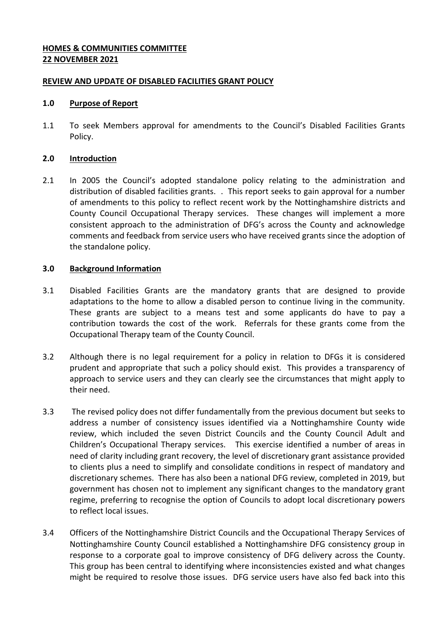# **HOMES & COMMUNITIES COMMITTEE 22 NOVEMBER 2021**

### **REVIEW AND UPDATE OF DISABLED FACILITIES GRANT POLICY**

#### **1.0 Purpose of Report**

1.1 To seek Members approval for amendments to the Council's Disabled Facilities Grants Policy.

#### **2.0 Introduction**

2.1 In 2005 the Council's adopted standalone policy relating to the administration and distribution of disabled facilities grants. . This report seeks to gain approval for a number of amendments to this policy to reflect recent work by the Nottinghamshire districts and County Council Occupational Therapy services. These changes will implement a more consistent approach to the administration of DFG's across the County and acknowledge comments and feedback from service users who have received grants since the adoption of the standalone policy.

### **3.0 Background Information**

- 3.1 Disabled Facilities Grants are the mandatory grants that are designed to provide adaptations to the home to allow a disabled person to continue living in the community. These grants are subject to a means test and some applicants do have to pay a contribution towards the cost of the work. Referrals for these grants come from the Occupational Therapy team of the County Council.
- 3.2 Although there is no legal requirement for a policy in relation to DFGs it is considered prudent and appropriate that such a policy should exist. This provides a transparency of approach to service users and they can clearly see the circumstances that might apply to their need.
- 3.3 The revised policy does not differ fundamentally from the previous document but seeks to address a number of consistency issues identified via a Nottinghamshire County wide review, which included the seven District Councils and the County Council Adult and Children's Occupational Therapy services. This exercise identified a number of areas in need of clarity including grant recovery, the level of discretionary grant assistance provided to clients plus a need to simplify and consolidate conditions in respect of mandatory and discretionary schemes. There has also been a national DFG review, completed in 2019, but government has chosen not to implement any significant changes to the mandatory grant regime, preferring to recognise the option of Councils to adopt local discretionary powers to reflect local issues.
- 3.4 Officers of the Nottinghamshire District Councils and the Occupational Therapy Services of Nottinghamshire County Council established a Nottinghamshire DFG consistency group in response to a corporate goal to improve consistency of DFG delivery across the County. This group has been central to identifying where inconsistencies existed and what changes might be required to resolve those issues. DFG service users have also fed back into this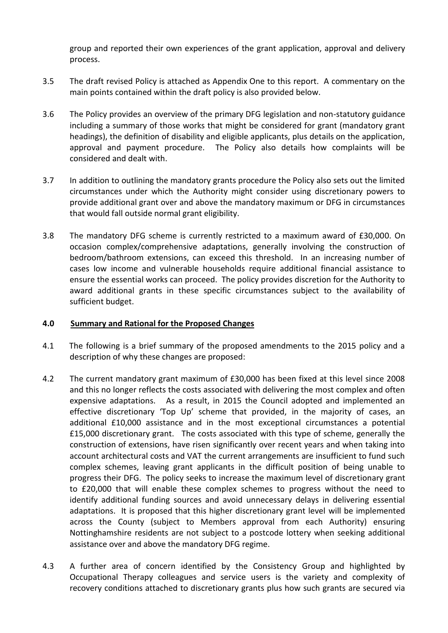group and reported their own experiences of the grant application, approval and delivery process.

- 3.5 The draft revised Policy is attached as Appendix One to this report. A commentary on the main points contained within the draft policy is also provided below.
- 3.6 The Policy provides an overview of the primary DFG legislation and non-statutory guidance including a summary of those works that might be considered for grant (mandatory grant headings), the definition of disability and eligible applicants, plus details on the application, approval and payment procedure. The Policy also details how complaints will be considered and dealt with.
- 3.7 In addition to outlining the mandatory grants procedure the Policy also sets out the limited circumstances under which the Authority might consider using discretionary powers to provide additional grant over and above the mandatory maximum or DFG in circumstances that would fall outside normal grant eligibility.
- 3.8 The mandatory DFG scheme is currently restricted to a maximum award of £30,000. On occasion complex/comprehensive adaptations, generally involving the construction of bedroom/bathroom extensions, can exceed this threshold. In an increasing number of cases low income and vulnerable households require additional financial assistance to ensure the essential works can proceed. The policy provides discretion for the Authority to award additional grants in these specific circumstances subject to the availability of sufficient budget.

### **4.0 Summary and Rational for the Proposed Changes**

- 4.1 The following is a brief summary of the proposed amendments to the 2015 policy and a description of why these changes are proposed:
- 4.2 The current mandatory grant maximum of £30,000 has been fixed at this level since 2008 and this no longer reflects the costs associated with delivering the most complex and often expensive adaptations. As a result, in 2015 the Council adopted and implemented an effective discretionary 'Top Up' scheme that provided, in the majority of cases, an additional £10,000 assistance and in the most exceptional circumstances a potential £15,000 discretionary grant. The costs associated with this type of scheme, generally the construction of extensions, have risen significantly over recent years and when taking into account architectural costs and VAT the current arrangements are insufficient to fund such complex schemes, leaving grant applicants in the difficult position of being unable to progress their DFG. The policy seeks to increase the maximum level of discretionary grant to £20,000 that will enable these complex schemes to progress without the need to identify additional funding sources and avoid unnecessary delays in delivering essential adaptations. It is proposed that this higher discretionary grant level will be implemented across the County (subject to Members approval from each Authority) ensuring Nottinghamshire residents are not subject to a postcode lottery when seeking additional assistance over and above the mandatory DFG regime.
- 4.3 A further area of concern identified by the Consistency Group and highlighted by Occupational Therapy colleagues and service users is the variety and complexity of recovery conditions attached to discretionary grants plus how such grants are secured via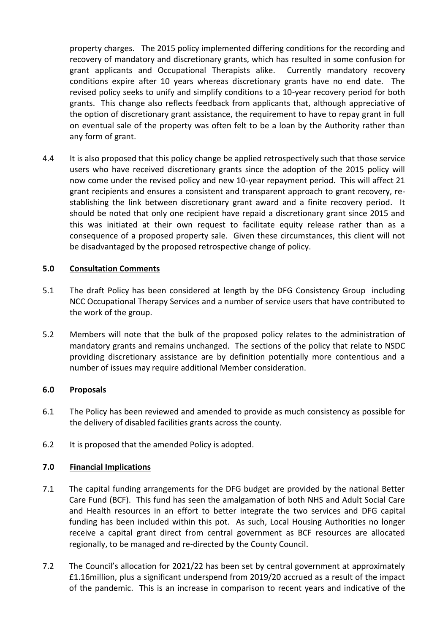property charges. The 2015 policy implemented differing conditions for the recording and recovery of mandatory and discretionary grants, which has resulted in some confusion for grant applicants and Occupational Therapists alike. Currently mandatory recovery conditions expire after 10 years whereas discretionary grants have no end date. The revised policy seeks to unify and simplify conditions to a 10-year recovery period for both grants. This change also reflects feedback from applicants that, although appreciative of the option of discretionary grant assistance, the requirement to have to repay grant in full on eventual sale of the property was often felt to be a loan by the Authority rather than any form of grant.

4.4 It is also proposed that this policy change be applied retrospectively such that those service users who have received discretionary grants since the adoption of the 2015 policy will now come under the revised policy and new 10-year repayment period. This will affect 21 grant recipients and ensures a consistent and transparent approach to grant recovery, restablishing the link between discretionary grant award and a finite recovery period. It should be noted that only one recipient have repaid a discretionary grant since 2015 and this was initiated at their own request to facilitate equity release rather than as a consequence of a proposed property sale. Given these circumstances, this client will not be disadvantaged by the proposed retrospective change of policy.

# **5.0 Consultation Comments**

- 5.1 The draft Policy has been considered at length by the DFG Consistency Group including NCC Occupational Therapy Services and a number of service users that have contributed to the work of the group.
- 5.2 Members will note that the bulk of the proposed policy relates to the administration of mandatory grants and remains unchanged. The sections of the policy that relate to NSDC providing discretionary assistance are by definition potentially more contentious and a number of issues may require additional Member consideration.

### **6.0 Proposals**

- 6.1 The Policy has been reviewed and amended to provide as much consistency as possible for the delivery of disabled facilities grants across the county.
- 6.2 It is proposed that the amended Policy is adopted.

### **7.0 Financial Implications**

- 7.1 The capital funding arrangements for the DFG budget are provided by the national Better Care Fund (BCF). This fund has seen the amalgamation of both NHS and Adult Social Care and Health resources in an effort to better integrate the two services and DFG capital funding has been included within this pot. As such, Local Housing Authorities no longer receive a capital grant direct from central government as BCF resources are allocated regionally, to be managed and re-directed by the County Council.
- 7.2 The Council's allocation for 2021/22 has been set by central government at approximately £1.16million, plus a significant underspend from 2019/20 accrued as a result of the impact of the pandemic. This is an increase in comparison to recent years and indicative of the